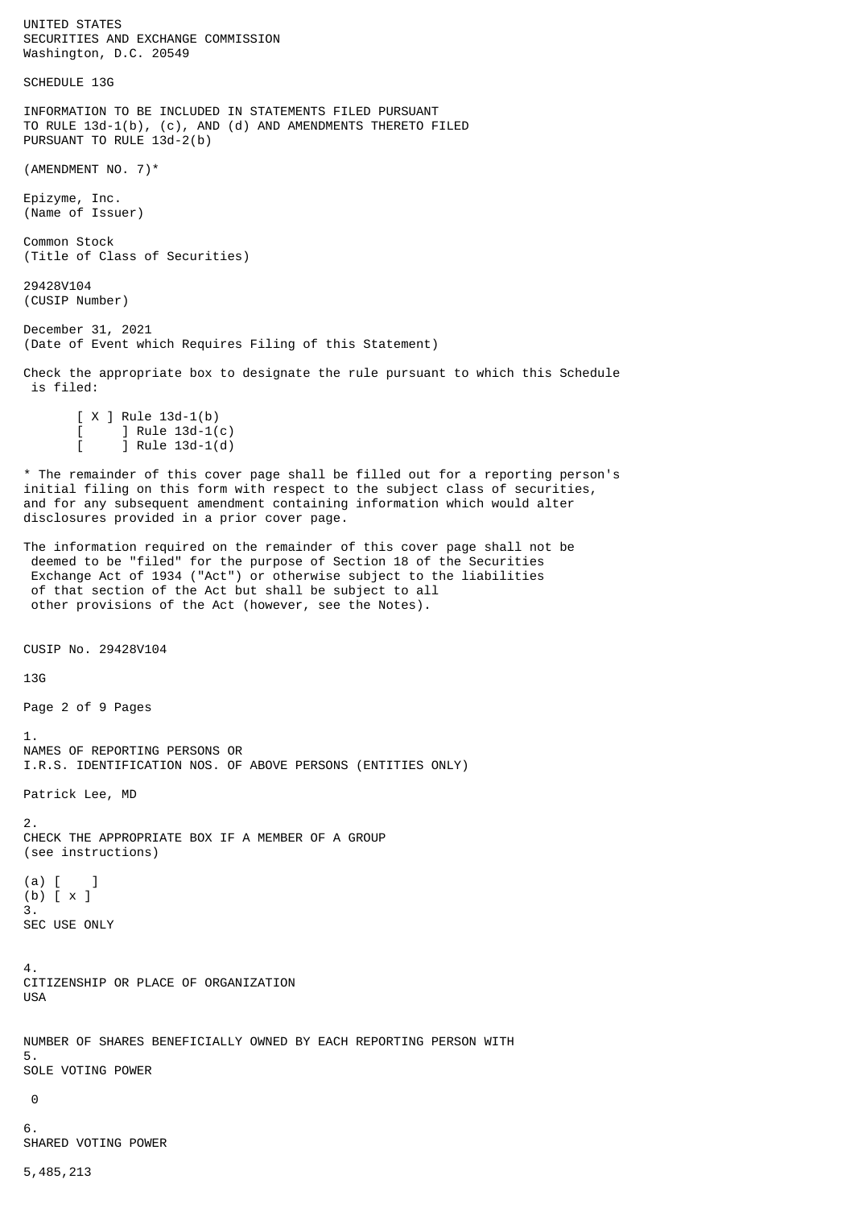UNITED STATES SECURITIES AND EXCHANGE COMMISSION Washington, D.C. 20549 SCHEDULE 13G INFORMATION TO BE INCLUDED IN STATEMENTS FILED PURSUANT TO RULE 13d-1(b), (c), AND (d) AND AMENDMENTS THERETO FILED PURSUANT TO RULE 13d-2(b) (AMENDMENT NO. 7)\* Epizyme, Inc. (Name of Issuer) Common Stock (Title of Class of Securities) 29428V104 (CUSIP Number) December 31, 2021 (Date of Event which Requires Filing of this Statement) Check the appropriate box to designate the rule pursuant to which this Schedule is filed:  $[X \rceil$  Rule 13d-1(b) ] Rule  $13d-1(c)$  $j$  Rule 13d-1(d) \* The remainder of this cover page shall be filled out for a reporting person's initial filing on this form with respect to the subject class of securities, and for any subsequent amendment containing information which would alter disclosures provided in a prior cover page. The information required on the remainder of this cover page shall not be deemed to be "filed" for the purpose of Section 18 of the Securities Exchange Act of 1934 ("Act") or otherwise subject to the liabilities of that section of the Act but shall be subject to all other provisions of the Act (however, see the Notes). CUSIP No. 29428V104 13G Page 2 of 9 Pages 1. NAMES OF REPORTING PERSONS OR I.R.S. IDENTIFICATION NOS. OF ABOVE PERSONS (ENTITIES ONLY) Patrick Lee, MD 2. CHECK THE APPROPRIATE BOX IF A MEMBER OF A GROUP (see instructions)  $(a)$  [ ] (b) [ x ] 3. SEC USE ONLY 4. CITIZENSHIP OR PLACE OF ORGANIZATION USA NUMBER OF SHARES BENEFICIALLY OWNED BY EACH REPORTING PERSON WITH 5. SOLE VOTING POWER 0 6. SHARED VOTING POWER

5,485,213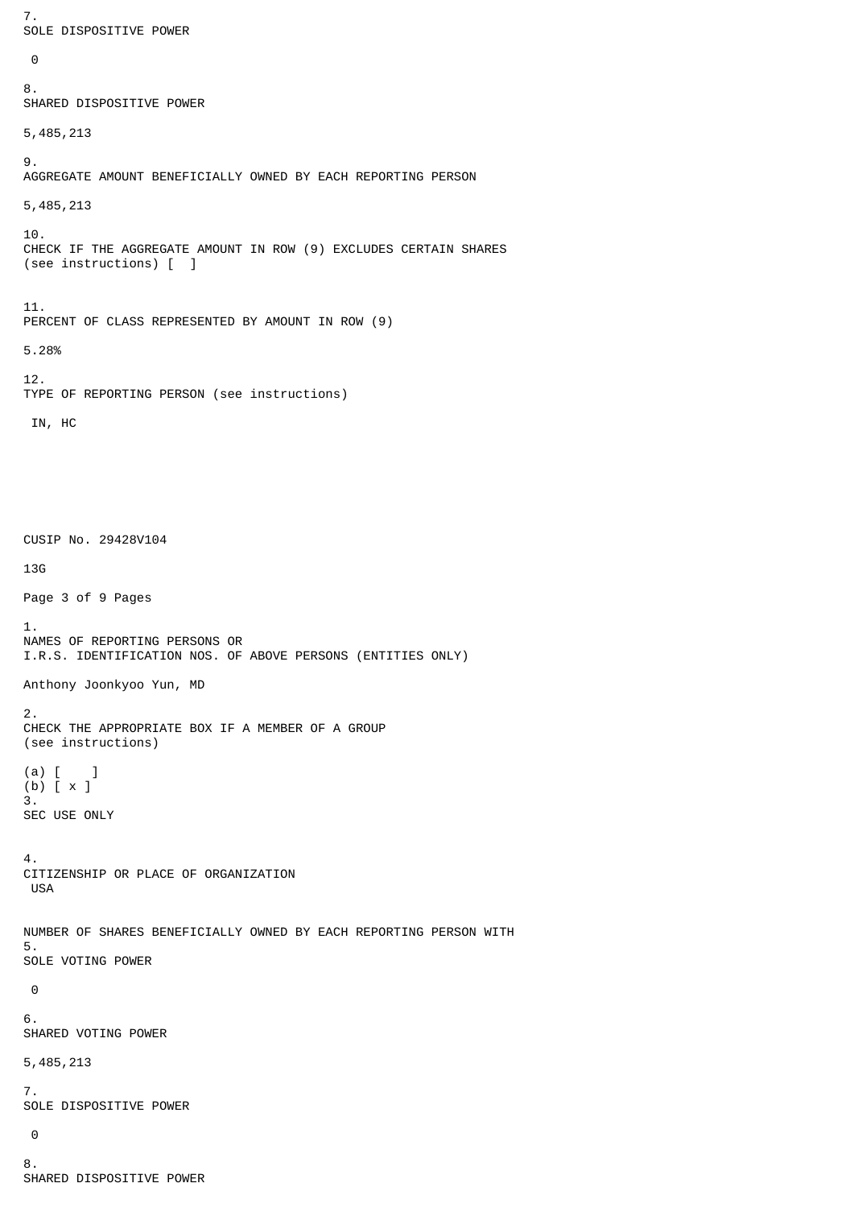```
7.
SOLE DISPOSITIVE POWER
  0
8.
SHARED DISPOSITIVE POWER
5,485,213
9.
AGGREGATE AMOUNT BENEFICIALLY OWNED BY EACH REPORTING PERSON
5,485,213
10.
CHECK IF THE AGGREGATE AMOUNT IN ROW (9) EXCLUDES CERTAIN SHARES
(see instructions) [ ]
11.
PERCENT OF CLASS REPRESENTED BY AMOUNT IN ROW (9)
5.28%
12.
TYPE OF REPORTING PERSON (see instructions)
  IN, HC
CUSIP No. 29428V104
13G
Page 3 of 9 Pages
1.
NAMES OF REPORTING PERSONS OR
I.R.S. IDENTIFICATION NOS. OF ABOVE PERSONS (ENTITIES ONLY)
Anthony Joonkyoo Yun, MD
2.
CHECK THE APPROPRIATE BOX IF A MEMBER OF A GROUP
(see instructions)
(a) [ ]
(b) [ x ]
3.
SEC USE ONLY
4.
CITIZENSHIP OR PLACE OF ORGANIZATION
  USA
NUMBER OF SHARES BENEFICIALLY OWNED BY EACH REPORTING PERSON WITH
5.
SOLE VOTING POWER
  0
6.
SHARED VOTING POWER
5,485,213
7.
SOLE DISPOSITIVE POWER
  0
8.
SHARED DISPOSITIVE POWER
```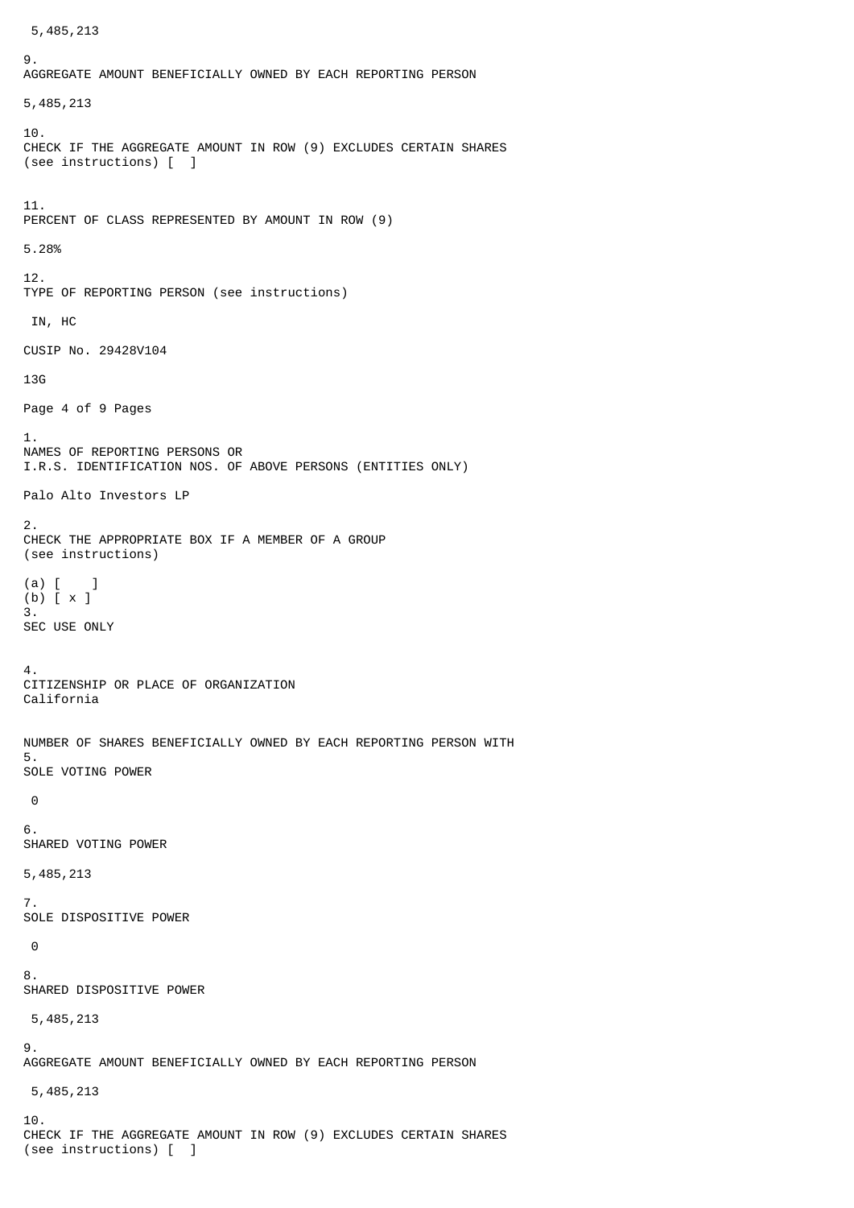```
 5,485,213
Q_{\perp}AGGREGATE AMOUNT BENEFICIALLY OWNED BY EACH REPORTING PERSON
5,485,213
10.
CHECK IF THE AGGREGATE AMOUNT IN ROW (9) EXCLUDES CERTAIN SHARES
(see instructions) [ ]
11.
PERCENT OF CLASS REPRESENTED BY AMOUNT IN ROW (9)
5.28%
12.
TYPE OF REPORTING PERSON (see instructions)
 IN, HC
CUSIP No. 29428V104
13G
Page 4 of 9 Pages
1.
NAMES OF REPORTING PERSONS OR
I.R.S. IDENTIFICATION NOS. OF ABOVE PERSONS (ENTITIES ONLY)
Palo Alto Investors LP
2.
CHECK THE APPROPRIATE BOX IF A MEMBER OF A GROUP
(see instructions)
(a) [ ]
(b) [ x ]
3.
SEC USE ONLY
4.
CITIZENSHIP OR PLACE OF ORGANIZATION
California
NUMBER OF SHARES BENEFICIALLY OWNED BY EACH REPORTING PERSON WITH
5.
SOLE VOTING POWER
 0
6.
SHARED VOTING POWER
5,485,213
7.
SOLE DISPOSITIVE POWER
\Theta8.
SHARED DISPOSITIVE POWER
 5,485,213
9.
AGGREGATE AMOUNT BENEFICIALLY OWNED BY EACH REPORTING PERSON
 5,485,213
10.
CHECK IF THE AGGREGATE AMOUNT IN ROW (9) EXCLUDES CERTAIN SHARES
(see instructions) [ ]
```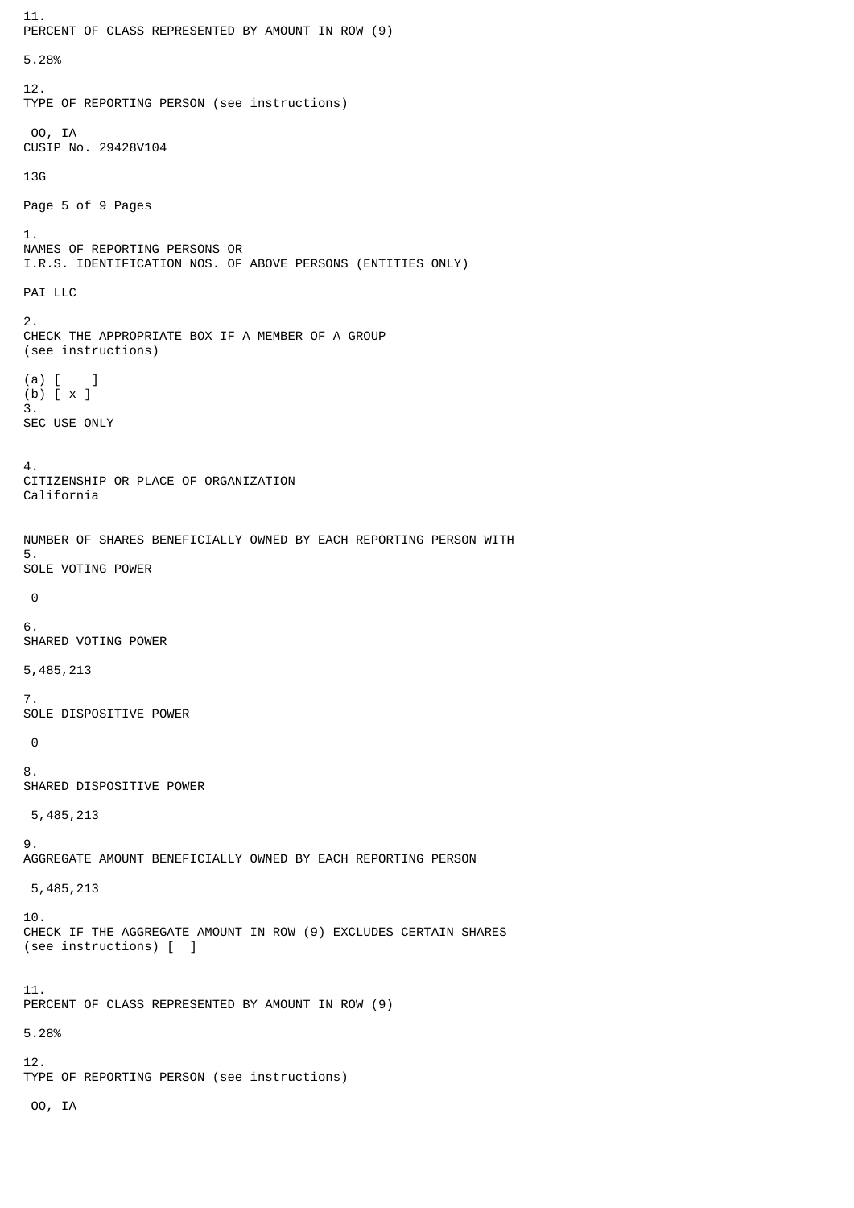```
11.
PERCENT OF CLASS REPRESENTED BY AMOUNT IN ROW (9)
5.28%
12.
TYPE OF REPORTING PERSON (see instructions)
 OO, IA
CUSIP No. 29428V104
13G
Page 5 of 9 Pages
1.
NAMES OF REPORTING PERSONS OR
I.R.S. IDENTIFICATION NOS. OF ABOVE PERSONS (ENTITIES ONLY)
PAI LLC
2.
CHECK THE APPROPRIATE BOX IF A MEMBER OF A GROUP
(see instructions)
(a) [ ]
(b) [ x ]
3.
SEC USE ONLY
4.
CITIZENSHIP OR PLACE OF ORGANIZATION
California
NUMBER OF SHARES BENEFICIALLY OWNED BY EACH REPORTING PERSON WITH
5.
SOLE VOTING POWER
\Theta6.
SHARED VOTING POWER
5,485,213
7.
SOLE DISPOSITIVE POWER
\Theta8.
SHARED DISPOSITIVE POWER
 5,485,213
9.
AGGREGATE AMOUNT BENEFICIALLY OWNED BY EACH REPORTING PERSON
 5,485,213
10.
CHECK IF THE AGGREGATE AMOUNT IN ROW (9) EXCLUDES CERTAIN SHARES
(see instructions) [ ]
11.
PERCENT OF CLASS REPRESENTED BY AMOUNT IN ROW (9)
5.28%
12.
TYPE OF REPORTING PERSON (see instructions)
  OO, IA
```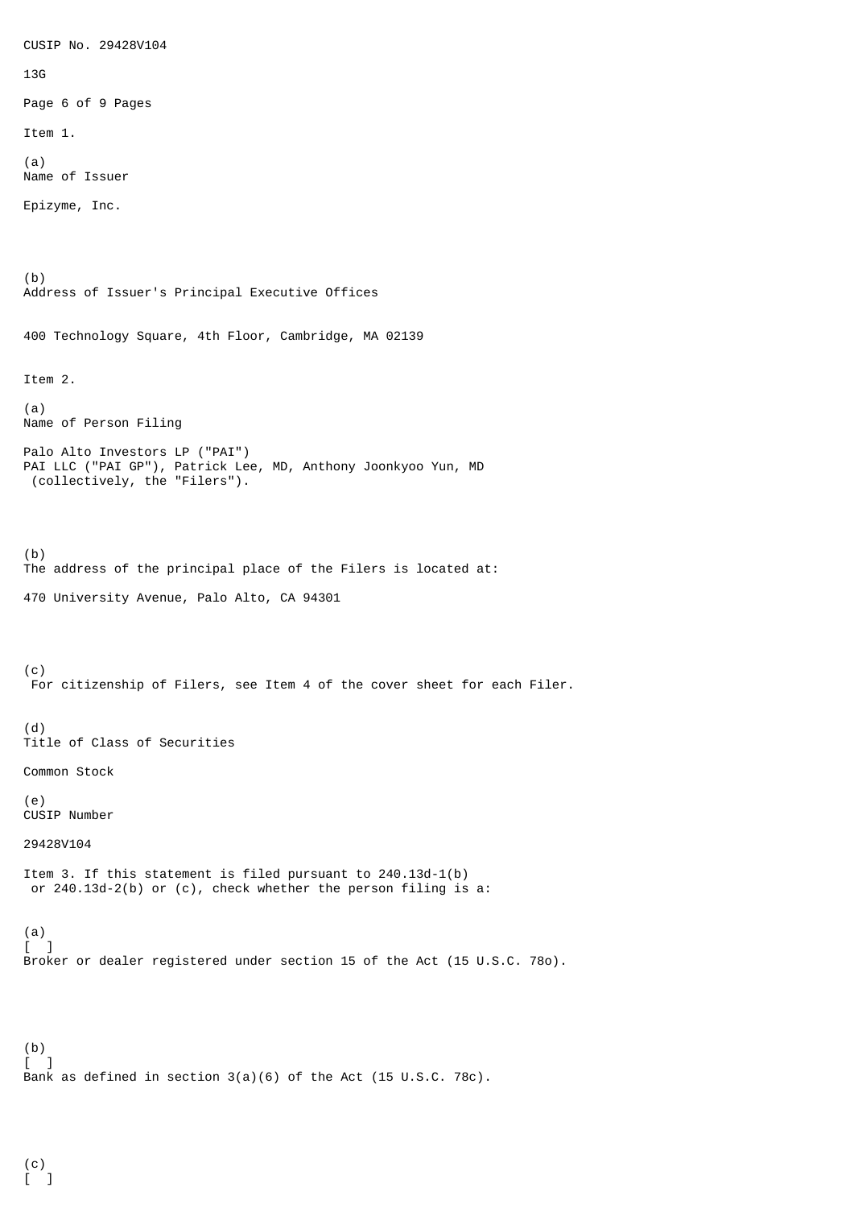CUSIP No. 29428V104 13G Page 6 of 9 Pages Item 1. (a) Name of Issuer Epizyme, Inc. (b) Address of Issuer's Principal Executive Offices 400 Technology Square, 4th Floor, Cambridge, MA 02139 Item 2. (a) Name of Person Filing Palo Alto Investors LP ("PAI") PAI LLC ("PAI GP"), Patrick Lee, MD, Anthony Joonkyoo Yun, MD (collectively, the "Filers"). (b) The address of the principal place of the Filers is located at: 470 University Avenue, Palo Alto, CA 94301 (c) For citizenship of Filers, see Item 4 of the cover sheet for each Filer. (d) Title of Class of Securities Common Stock (e) CUSIP Number 29428V104 Item 3. If this statement is filed pursuant to 240.13d-1(b) or 240.13d-2(b) or (c), check whether the person filing is a: (a) - 1 Broker or dealer registered under section 15 of the Act (15 U.S.C. 78o). (b) [ ] Bank as defined in section 3(a)(6) of the Act (15 U.S.C. 78c).

(c)  $[$   $]$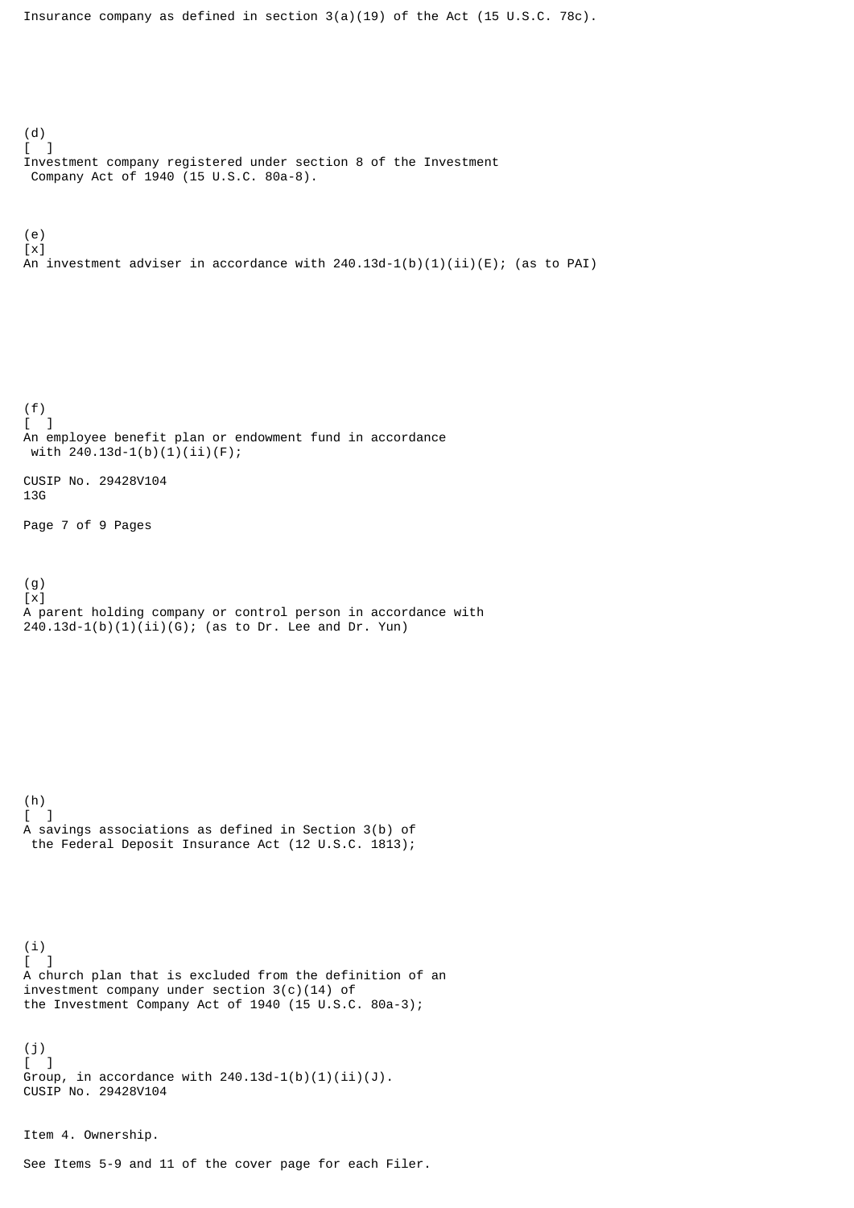Insurance company as defined in section  $3(a)(19)$  of the Act (15 U.S.C. 78c). (d) [ ] Investment company registered under section 8 of the Investment Company Act of 1940 (15 U.S.C. 80a-8). (e)  $\lceil x \rceil$ An investment adviser in accordance with  $240.13d-1(b)(1)(ii)(E)$ ; (as to PAI) (f)  $\Gamma$  1 An employee benefit plan or endowment fund in accordance with 240.13d-1(b)(1)(ii)(F); CUSIP No. 29428V104 13G Page 7 of 9 Pages (g) [x] A parent holding company or control person in accordance with  $240.13d-1(b)(1)(ii)(G);$  (as to Dr. Lee and Dr. Yun) (h)  $[$   $]$ A savings associations as defined in Section 3(b) of the Federal Deposit Insurance Act (12 U.S.C. 1813); (i)  $[$   $]$ A church plan that is excluded from the definition of an investment company under section 3(c)(14) of the Investment Company Act of 1940 (15 U.S.C. 80a-3); (j)  $\lbrack$ Group, in accordance with  $240.13d-1(b)(1)(ii)(J)$ . CUSIP No. 29428V104 Item 4. Ownership.

See Items 5-9 and 11 of the cover page for each Filer.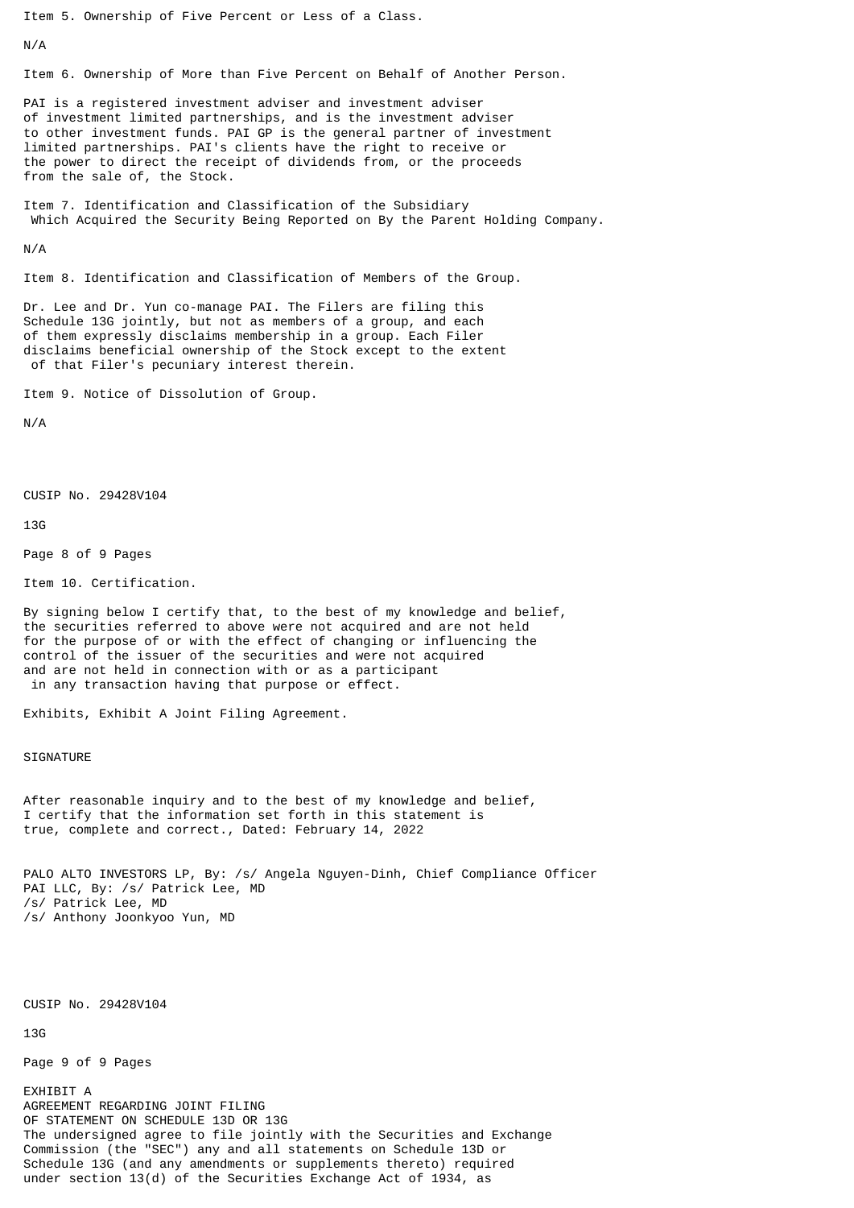Item 5. Ownership of Five Percent or Less of a Class.

N/A

Item 6. Ownership of More than Five Percent on Behalf of Another Person.

PAI is a registered investment adviser and investment adviser of investment limited partnerships, and is the investment adviser to other investment funds. PAI GP is the general partner of investment limited partnerships. PAI's clients have the right to receive or the power to direct the receipt of dividends from, or the proceeds from the sale of, the Stock.

Item 7. Identification and Classification of the Subsidiary Which Acquired the Security Being Reported on By the Parent Holding Company.

N/A

Item 8. Identification and Classification of Members of the Group.

Dr. Lee and Dr. Yun co-manage PAI. The Filers are filing this Schedule 13G jointly, but not as members of a group, and each of them expressly disclaims membership in a group. Each Filer disclaims beneficial ownership of the Stock except to the extent of that Filer's pecuniary interest therein.

Item 9. Notice of Dissolution of Group.

N/A

CUSIP No. 29428V104

13G

Page 8 of 9 Pages

Item 10. Certification.

By signing below I certify that, to the best of my knowledge and belief, the securities referred to above were not acquired and are not held for the purpose of or with the effect of changing or influencing the control of the issuer of the securities and were not acquired and are not held in connection with or as a participant in any transaction having that purpose or effect.

Exhibits, Exhibit A Joint Filing Agreement.

SIGNATURE

After reasonable inquiry and to the best of my knowledge and belief, I certify that the information set forth in this statement is true, complete and correct., Dated: February 14, 2022

PALO ALTO INVESTORS LP, By: /s/ Angela Nguyen-Dinh, Chief Compliance Officer PAI LLC, By: /s/ Patrick Lee, MD /s/ Patrick Lee, MD /s/ Anthony Joonkyoo Yun, MD

CUSIP No. 29428V104

13G

Page 9 of 9 Pages

EXHIBIT A AGREEMENT REGARDING JOINT FILING OF STATEMENT ON SCHEDULE 13D OR 13G The undersigned agree to file jointly with the Securities and Exchange Commission (the "SEC") any and all statements on Schedule 13D or Schedule 13G (and any amendments or supplements thereto) required under section 13(d) of the Securities Exchange Act of 1934, as